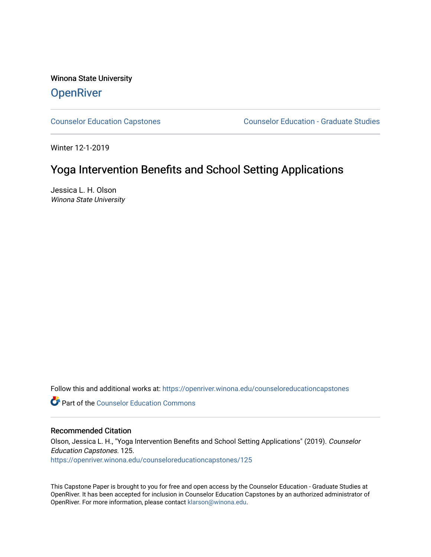Winona State University **OpenRiver** 

[Counselor Education Capstones](https://openriver.winona.edu/counseloreducationcapstones) [Counselor Education - Graduate Studies](https://openriver.winona.edu/counseloreducation) 

Winter 12-1-2019

# Yoga Intervention Benefits and School Setting Applications

Jessica L. H. Olson Winona State University

Follow this and additional works at: [https://openriver.winona.edu/counseloreducationcapstones](https://openriver.winona.edu/counseloreducationcapstones?utm_source=openriver.winona.edu%2Fcounseloreducationcapstones%2F125&utm_medium=PDF&utm_campaign=PDFCoverPages)

**C** Part of the Counselor Education Commons

#### Recommended Citation

Olson, Jessica L. H., "Yoga Intervention Benefits and School Setting Applications" (2019). Counselor Education Capstones. 125. [https://openriver.winona.edu/counseloreducationcapstones/125](https://openriver.winona.edu/counseloreducationcapstones/125?utm_source=openriver.winona.edu%2Fcounseloreducationcapstones%2F125&utm_medium=PDF&utm_campaign=PDFCoverPages)

This Capstone Paper is brought to you for free and open access by the Counselor Education - Graduate Studies at OpenRiver. It has been accepted for inclusion in Counselor Education Capstones by an authorized administrator of OpenRiver. For more information, please contact [klarson@winona.edu](mailto:klarson@winona.edu).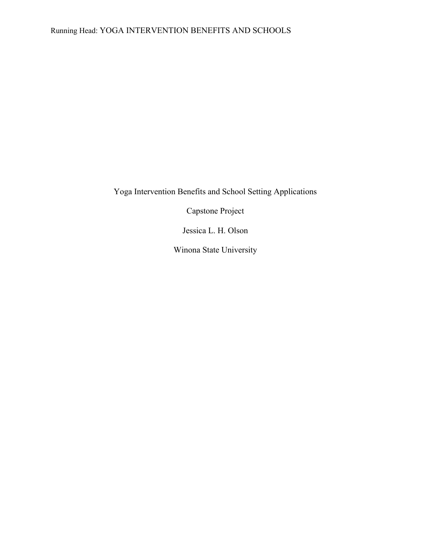Yoga Intervention Benefits and School Setting Applications

Capstone Project

Jessica L. H. Olson

Winona State University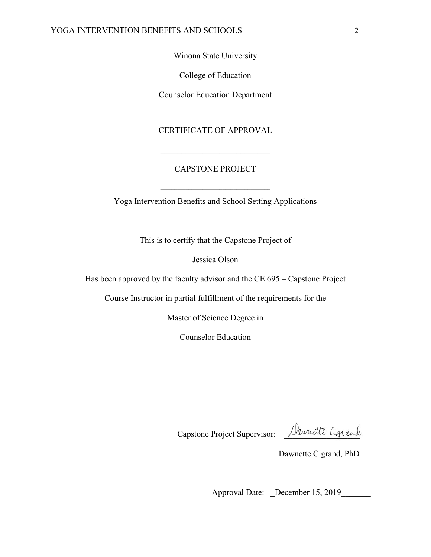Winona State University

College of Education

Counselor Education Department

CERTIFICATE OF APPROVAL

# CAPSTONE PROJECT

Yoga Intervention Benefits and School Setting Applications

This is to certify that the Capstone Project of

Jessica Olson

Has been approved by the faculty advisor and the CE 695 – Capstone Project

Course Instructor in partial fulfillment of the requirements for the

Master of Science Degree in

Counselor Education

Capstone Project Supervisor: Alaunatte Ligrand

Dawnette Cigrand, PhD

Approval Date: December 15, 2019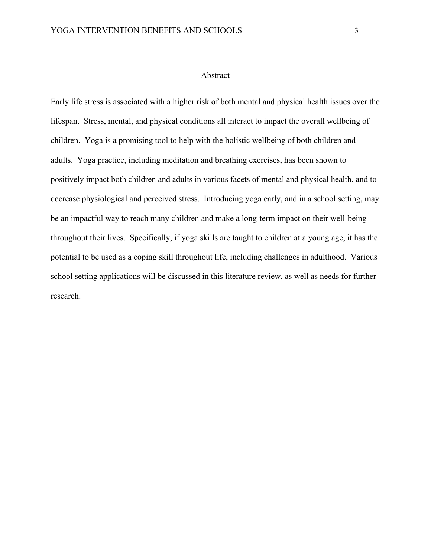#### Abstract

Early life stress is associated with a higher risk of both mental and physical health issues over the lifespan. Stress, mental, and physical conditions all interact to impact the overall wellbeing of children. Yoga is a promising tool to help with the holistic wellbeing of both children and adults. Yoga practice, including meditation and breathing exercises, has been shown to positively impact both children and adults in various facets of mental and physical health, and to decrease physiological and perceived stress. Introducing yoga early, and in a school setting, may be an impactful way to reach many children and make a long-term impact on their well-being throughout their lives. Specifically, if yoga skills are taught to children at a young age, it has the potential to be used as a coping skill throughout life, including challenges in adulthood. Various school setting applications will be discussed in this literature review, as well as needs for further research.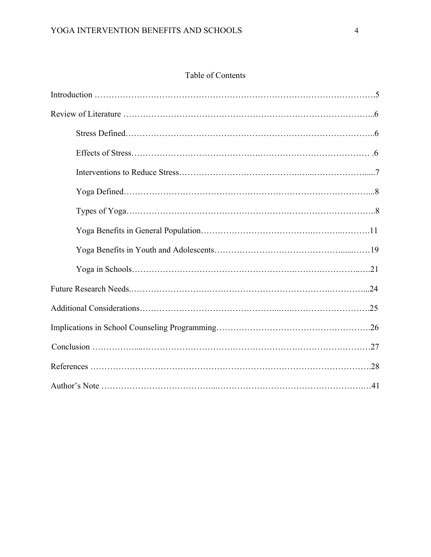# Table of Contents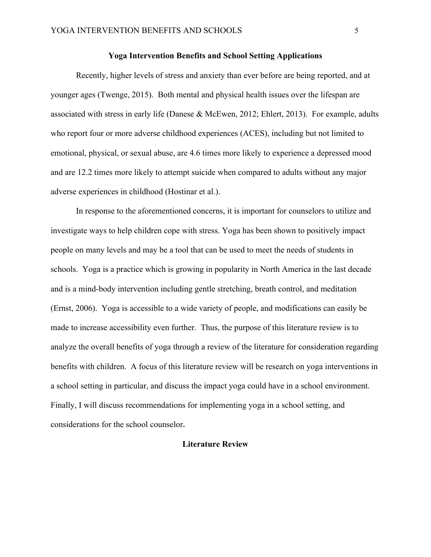## **Yoga Intervention Benefits and School Setting Applications**

Recently, higher levels of stress and anxiety than ever before are being reported, and at younger ages (Twenge, 2015). Both mental and physical health issues over the lifespan are associated with stress in early life (Danese & McEwen, 2012; Ehlert, 2013). For example, adults who report four or more adverse childhood experiences (ACES), including but not limited to emotional, physical, or sexual abuse, are 4.6 times more likely to experience a depressed mood and are 12.2 times more likely to attempt suicide when compared to adults without any major adverse experiences in childhood (Hostinar et al.).

In response to the aforementioned concerns, it is important for counselors to utilize and investigate ways to help children cope with stress. Yoga has been shown to positively impact people on many levels and may be a tool that can be used to meet the needs of students in schools. Yoga is a practice which is growing in popularity in North America in the last decade and is a mind-body intervention including gentle stretching, breath control, and meditation (Ernst, 2006). Yoga is accessible to a wide variety of people, and modifications can easily be made to increase accessibility even further. Thus, the purpose of this literature review is to analyze the overall benefits of yoga through a review of the literature for consideration regarding benefits with children. A focus of this literature review will be research on yoga interventions in a school setting in particular, and discuss the impact yoga could have in a school environment. Finally, I will discuss recommendations for implementing yoga in a school setting, and considerations for the school counselor**.** 

# **Literature Review**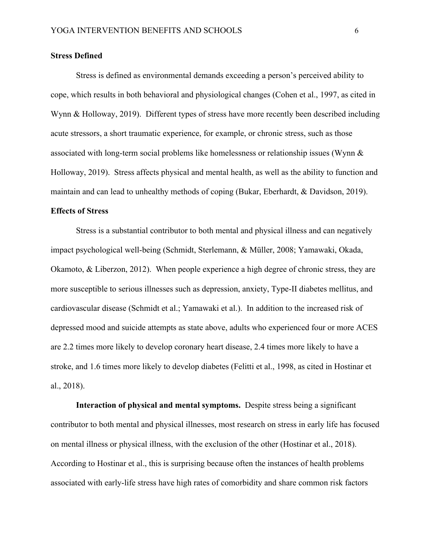#### **Stress Defined**

Stress is defined as environmental demands exceeding a person's perceived ability to cope, which results in both behavioral and physiological changes (Cohen et al., 1997, as cited in Wynn & Holloway, 2019). Different types of stress have more recently been described including acute stressors, a short traumatic experience, for example, or chronic stress, such as those associated with long-term social problems like homelessness or relationship issues (Wynn & Holloway, 2019). Stress affects physical and mental health, as well as the ability to function and maintain and can lead to unhealthy methods of coping (Bukar, Eberhardt, & Davidson, 2019).

# **Effects of Stress**

Stress is a substantial contributor to both mental and physical illness and can negatively impact psychological well-being (Schmidt, Sterlemann, & Müller, 2008; Yamawaki, Okada, Okamoto, & Liberzon, 2012). When people experience a high degree of chronic stress, they are more susceptible to serious illnesses such as depression, anxiety, Type-II diabetes mellitus, and cardiovascular disease (Schmidt et al.; Yamawaki et al.). In addition to the increased risk of depressed mood and suicide attempts as state above, adults who experienced four or more ACES are 2.2 times more likely to develop coronary heart disease, 2.4 times more likely to have a stroke, and 1.6 times more likely to develop diabetes (Felitti et al., 1998, as cited in Hostinar et al., 2018).

**Interaction of physical and mental symptoms.** Despite stress being a significant contributor to both mental and physical illnesses, most research on stress in early life has focused on mental illness or physical illness, with the exclusion of the other (Hostinar et al., 2018). According to Hostinar et al., this is surprising because often the instances of health problems associated with early-life stress have high rates of comorbidity and share common risk factors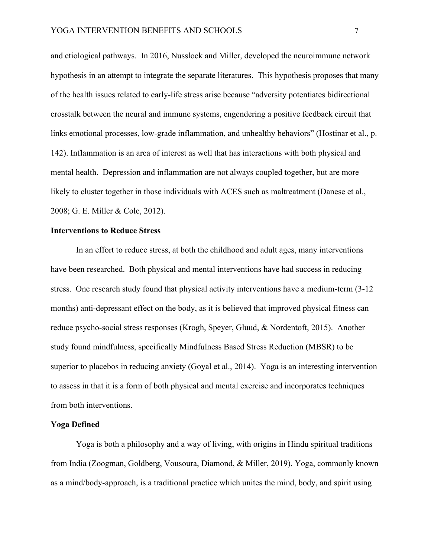and etiological pathways. In 2016, Nusslock and Miller, developed the neuroimmune network hypothesis in an attempt to integrate the separate literatures. This hypothesis proposes that many of the health issues related to early-life stress arise because "adversity potentiates bidirectional crosstalk between the neural and immune systems, engendering a positive feedback circuit that links emotional processes, low-grade inflammation, and unhealthy behaviors" (Hostinar et al., p. 142). Inflammation is an area of interest as well that has interactions with both physical and mental health. Depression and inflammation are not always coupled together, but are more likely to cluster together in those individuals with ACES such as maltreatment (Danese et al., 2008; G. E. Miller & Cole, 2012).

# **Interventions to Reduce Stress**

In an effort to reduce stress, at both the childhood and adult ages, many interventions have been researched. Both physical and mental interventions have had success in reducing stress. One research study found that physical activity interventions have a medium-term (3-12 months) anti-depressant effect on the body, as it is believed that improved physical fitness can reduce psycho-social stress responses (Krogh, Speyer, Gluud, & Nordentoft, 2015). Another study found mindfulness, specifically Mindfulness Based Stress Reduction (MBSR) to be superior to placebos in reducing anxiety (Goyal et al., 2014). Yoga is an interesting intervention to assess in that it is a form of both physical and mental exercise and incorporates techniques from both interventions.

#### **Yoga Defined**

Yoga is both a philosophy and a way of living, with origins in Hindu spiritual traditions from India (Zoogman, Goldberg, Vousoura, Diamond, & Miller, 2019). Yoga, commonly known as a mind/body-approach, is a traditional practice which unites the mind, body, and spirit using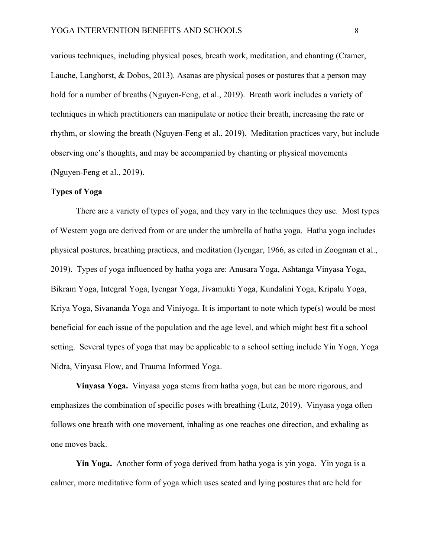various techniques, including physical poses, breath work, meditation, and chanting (Cramer, Lauche, Langhorst, & Dobos, 2013). Asanas are physical poses or postures that a person may hold for a number of breaths (Nguyen-Feng, et al., 2019). Breath work includes a variety of techniques in which practitioners can manipulate or notice their breath, increasing the rate or rhythm, or slowing the breath (Nguyen-Feng et al., 2019). Meditation practices vary, but include observing one's thoughts, and may be accompanied by chanting or physical movements (Nguyen-Feng et al., 2019).

## **Types of Yoga**

There are a variety of types of yoga, and they vary in the techniques they use. Most types of Western yoga are derived from or are under the umbrella of hatha yoga. Hatha yoga includes physical postures, breathing practices, and meditation (Iyengar, 1966, as cited in Zoogman et al., 2019). Types of yoga influenced by hatha yoga are: Anusara Yoga, Ashtanga Vinyasa Yoga, Bikram Yoga, Integral Yoga, Iyengar Yoga, Jivamukti Yoga, Kundalini Yoga, Kripalu Yoga, Kriya Yoga, Sivananda Yoga and Viniyoga. It is important to note which type(s) would be most beneficial for each issue of the population and the age level, and which might best fit a school setting. Several types of yoga that may be applicable to a school setting include Yin Yoga, Yoga Nidra, Vinyasa Flow, and Trauma Informed Yoga.

**Vinyasa Yoga.** Vinyasa yoga stems from hatha yoga, but can be more rigorous, and emphasizes the combination of specific poses with breathing (Lutz, 2019). Vinyasa yoga often follows one breath with one movement, inhaling as one reaches one direction, and exhaling as one moves back.

**Yin Yoga.** Another form of yoga derived from hatha yoga is yin yoga. Yin yoga is a calmer, more meditative form of yoga which uses seated and lying postures that are held for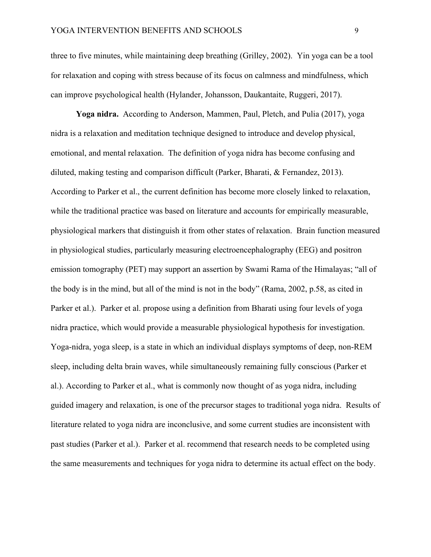three to five minutes, while maintaining deep breathing (Grilley, 2002). Yin yoga can be a tool for relaxation and coping with stress because of its focus on calmness and mindfulness, which can improve psychological health (Hylander, Johansson, Daukantaite, Ruggeri, 2017).

**Yoga nidra.** According to Anderson, Mammen, Paul, Pletch, and Pulia (2017), yoga nidra is a relaxation and meditation technique designed to introduce and develop physical, emotional, and mental relaxation. The definition of yoga nidra has become confusing and diluted, making testing and comparison difficult (Parker, Bharati, & Fernandez, 2013). According to Parker et al., the current definition has become more closely linked to relaxation, while the traditional practice was based on literature and accounts for empirically measurable, physiological markers that distinguish it from other states of relaxation. Brain function measured in physiological studies, particularly measuring electroencephalography (EEG) and positron emission tomography (PET) may support an assertion by Swami Rama of the Himalayas; "all of the body is in the mind, but all of the mind is not in the body" (Rama, 2002, p.58, as cited in Parker et al.). Parker et al. propose using a definition from Bharati using four levels of yoga nidra practice, which would provide a measurable physiological hypothesis for investigation. Yoga-nidra, yoga sleep, is a state in which an individual displays symptoms of deep, non-REM sleep, including delta brain waves, while simultaneously remaining fully conscious (Parker et al.). According to Parker et al., what is commonly now thought of as yoga nidra, including guided imagery and relaxation, is one of the precursor stages to traditional yoga nidra. Results of literature related to yoga nidra are inconclusive, and some current studies are inconsistent with past studies (Parker et al.). Parker et al. recommend that research needs to be completed using the same measurements and techniques for yoga nidra to determine its actual effect on the body.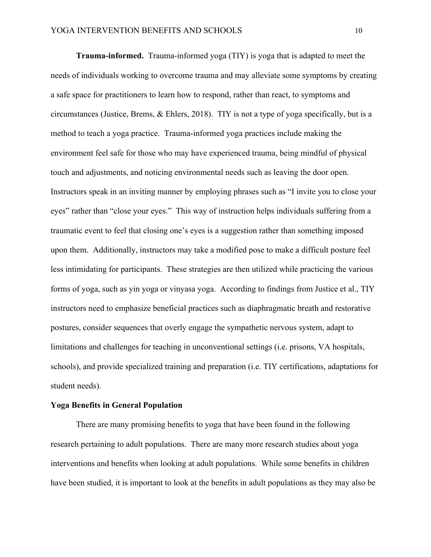**Trauma-informed.** Trauma-informed yoga (TIY) is yoga that is adapted to meet the needs of individuals working to overcome trauma and may alleviate some symptoms by creating a safe space for practitioners to learn how to respond, rather than react, to symptoms and circumstances (Justice, Brems, & Ehlers, 2018). TIY is not a type of yoga specifically, but is a method to teach a yoga practice. Trauma-informed yoga practices include making the environment feel safe for those who may have experienced trauma, being mindful of physical touch and adjustments, and noticing environmental needs such as leaving the door open. Instructors speak in an inviting manner by employing phrases such as "I invite you to close your eyes" rather than "close your eyes." This way of instruction helps individuals suffering from a traumatic event to feel that closing one's eyes is a suggestion rather than something imposed upon them. Additionally, instructors may take a modified pose to make a difficult posture feel less intimidating for participants. These strategies are then utilized while practicing the various forms of yoga, such as yin yoga or vinyasa yoga. According to findings from Justice et al., TIY instructors need to emphasize beneficial practices such as diaphragmatic breath and restorative postures, consider sequences that overly engage the sympathetic nervous system, adapt to limitations and challenges for teaching in unconventional settings (i.e. prisons, VA hospitals, schools), and provide specialized training and preparation (i.e. TIY certifications, adaptations for student needs).

#### **Yoga Benefits in General Population**

There are many promising benefits to yoga that have been found in the following research pertaining to adult populations. There are many more research studies about yoga interventions and benefits when looking at adult populations. While some benefits in children have been studied, it is important to look at the benefits in adult populations as they may also be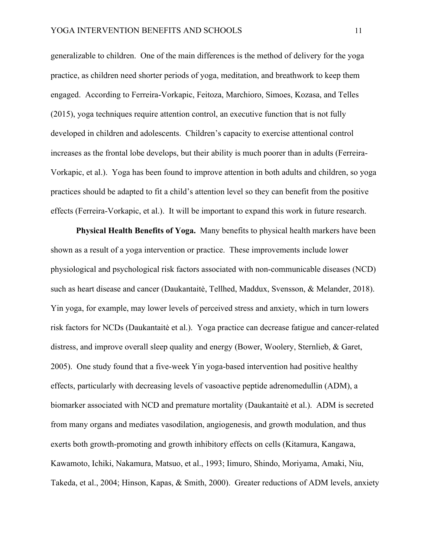generalizable to children. One of the main differences is the method of delivery for the yoga practice, as children need shorter periods of yoga, meditation, and breathwork to keep them engaged. According to Ferreira-Vorkapic, Feitoza, Marchioro, Simoes, Kozasa, and Telles (2015), yoga techniques require attention control, an executive function that is not fully developed in children and adolescents. Children's capacity to exercise attentional control increases as the frontal lobe develops, but their ability is much poorer than in adults (Ferreira-Vorkapic, et al.). Yoga has been found to improve attention in both adults and children, so yoga practices should be adapted to fit a child's attention level so they can benefit from the positive effects (Ferreira-Vorkapic, et al.). It will be important to expand this work in future research.

**Physical Health Benefits of Yoga.** Many benefits to physical health markers have been shown as a result of a yoga intervention or practice. These improvements include lower physiological and psychological risk factors associated with non-communicable diseases (NCD) such as heart disease and cancer (Daukantaitė, Tellhed, Maddux, Svensson, & Melander, 2018). Yin yoga, for example, may lower levels of perceived stress and anxiety, which in turn lowers risk factors for NCDs (Daukantaitė et al.). Yoga practice can decrease fatigue and cancer-related distress, and improve overall sleep quality and energy (Bower, Woolery, Sternlieb, & Garet, 2005). One study found that a five-week Yin yoga-based intervention had positive healthy effects, particularly with decreasing levels of vasoactive peptide adrenomedullin (ADM), a biomarker associated with NCD and premature mortality (Daukantaitė et al.). ADM is secreted from many organs and mediates vasodilation, angiogenesis, and growth modulation, and thus exerts both growth-promoting and growth inhibitory effects on cells (Kitamura, Kangawa, Kawamoto, Ichiki, Nakamura, Matsuo, et al., 1993; Iimuro, Shindo, Moriyama, Amaki, Niu, Takeda, et al., 2004; Hinson, Kapas, & Smith, 2000). Greater reductions of ADM levels, anxiety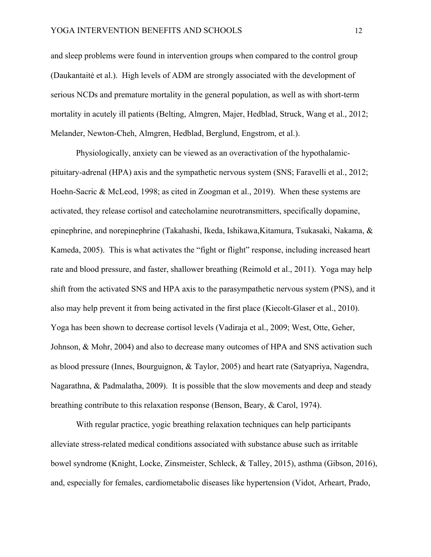and sleep problems were found in intervention groups when compared to the control group (Daukantaitė et al.). High levels of ADM are strongly associated with the development of serious NCDs and premature mortality in the general population, as well as with short-term mortality in acutely ill patients (Belting, Almgren, Majer, Hedblad, Struck, Wang et al., 2012; Melander, Newton-Cheh, Almgren, Hedblad, Berglund, Engstrom, et al.).

Physiologically, anxiety can be viewed as an overactivation of the hypothalamicpituitary-adrenal (HPA) axis and the sympathetic nervous system (SNS; Faravelli et al., 2012; Hoehn-Sacric & McLeod, 1998; as cited in Zoogman et al., 2019). When these systems are activated, they release cortisol and catecholamine neurotransmitters, specifically dopamine, epinephrine, and norepinephrine (Takahashi, Ikeda, Ishikawa,Kitamura, Tsukasaki, Nakama, & Kameda, 2005). This is what activates the "fight or flight" response, including increased heart rate and blood pressure, and faster, shallower breathing (Reimold et al., 2011). Yoga may help shift from the activated SNS and HPA axis to the parasympathetic nervous system (PNS), and it also may help prevent it from being activated in the first place (Kiecolt-Glaser et al., 2010). Yoga has been shown to decrease cortisol levels (Vadiraja et al., 2009; West, Otte, Geher, Johnson, & Mohr, 2004) and also to decrease many outcomes of HPA and SNS activation such as blood pressure (Innes, Bourguignon, & Taylor, 2005) and heart rate (Satyapriya, Nagendra, Nagarathna, & Padmalatha, 2009). It is possible that the slow movements and deep and steady breathing contribute to this relaxation response (Benson, Beary, & Carol, 1974).

With regular practice, yogic breathing relaxation techniques can help participants alleviate stress-related medical conditions associated with substance abuse such as irritable bowel syndrome (Knight, Locke, Zinsmeister, Schleck, & Talley, 2015), asthma (Gibson, 2016), and, especially for females, cardiometabolic diseases like hypertension (Vidot, Arheart, Prado,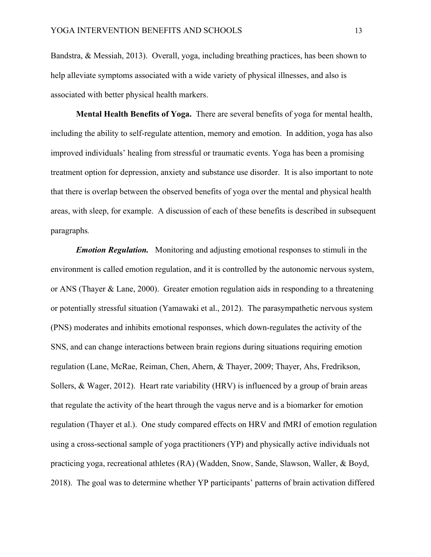Bandstra, & Messiah, 2013). Overall, yoga, including breathing practices, has been shown to help alleviate symptoms associated with a wide variety of physical illnesses, and also is associated with better physical health markers.

**Mental Health Benefits of Yoga.** There are several benefits of yoga for mental health, including the ability to self-regulate attention, memory and emotion. In addition, yoga has also improved individuals' healing from stressful or traumatic events. Yoga has been a promising treatment option for depression, anxiety and substance use disorder. It is also important to note that there is overlap between the observed benefits of yoga over the mental and physical health areas, with sleep, for example. A discussion of each of these benefits is described in subsequent paragraphs*.* 

*Emotion Regulation.* Monitoring and adjusting emotional responses to stimuli in the environment is called emotion regulation, and it is controlled by the autonomic nervous system, or ANS (Thayer & Lane, 2000). Greater emotion regulation aids in responding to a threatening or potentially stressful situation (Yamawaki et al., 2012). The parasympathetic nervous system (PNS) moderates and inhibits emotional responses, which down-regulates the activity of the SNS, and can change interactions between brain regions during situations requiring emotion regulation (Lane, McRae, Reiman, Chen, Ahern, & Thayer, 2009; Thayer, Ahs, Fredrikson, Sollers, & Wager, 2012). Heart rate variability (HRV) is influenced by a group of brain areas that regulate the activity of the heart through the vagus nerve and is a biomarker for emotion regulation (Thayer et al.). One study compared effects on HRV and fMRI of emotion regulation using a cross-sectional sample of yoga practitioners (YP) and physically active individuals not practicing yoga, recreational athletes (RA) (Wadden, Snow, Sande, Slawson, Waller, & Boyd, 2018). The goal was to determine whether YP participants' patterns of brain activation differed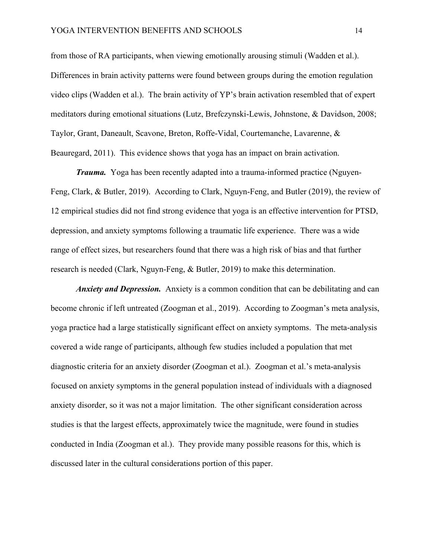from those of RA participants, when viewing emotionally arousing stimuli (Wadden et al.). Differences in brain activity patterns were found between groups during the emotion regulation video clips (Wadden et al.). The brain activity of YP's brain activation resembled that of expert meditators during emotional situations (Lutz, Brefczynski-Lewis, Johnstone, & Davidson, 2008; Taylor, Grant, Daneault, Scavone, Breton, Roffe-Vidal, Courtemanche, Lavarenne, & Beauregard, 2011). This evidence shows that yoga has an impact on brain activation.

*Trauma.* Yoga has been recently adapted into a trauma-informed practice (Nguyen-Feng, Clark, & Butler, 2019). According to Clark, Nguyn-Feng, and Butler (2019), the review of 12 empirical studies did not find strong evidence that yoga is an effective intervention for PTSD, depression, and anxiety symptoms following a traumatic life experience. There was a wide range of effect sizes, but researchers found that there was a high risk of bias and that further research is needed (Clark, Nguyn-Feng, & Butler, 2019) to make this determination.

*Anxiety and Depression.* Anxiety is a common condition that can be debilitating and can become chronic if left untreated (Zoogman et al., 2019). According to Zoogman's meta analysis, yoga practice had a large statistically significant effect on anxiety symptoms. The meta-analysis covered a wide range of participants, although few studies included a population that met diagnostic criteria for an anxiety disorder (Zoogman et al.). Zoogman et al.'s meta-analysis focused on anxiety symptoms in the general population instead of individuals with a diagnosed anxiety disorder, so it was not a major limitation. The other significant consideration across studies is that the largest effects, approximately twice the magnitude, were found in studies conducted in India (Zoogman et al.). They provide many possible reasons for this, which is discussed later in the cultural considerations portion of this paper.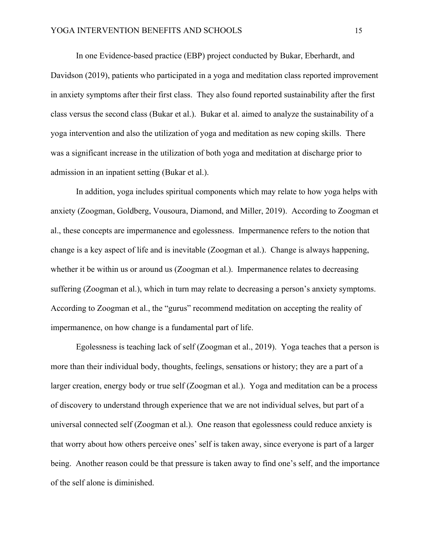In one Evidence-based practice (EBP) project conducted by Bukar, Eberhardt, and Davidson (2019), patients who participated in a yoga and meditation class reported improvement in anxiety symptoms after their first class. They also found reported sustainability after the first class versus the second class (Bukar et al.). Bukar et al. aimed to analyze the sustainability of a yoga intervention and also the utilization of yoga and meditation as new coping skills. There was a significant increase in the utilization of both yoga and meditation at discharge prior to admission in an inpatient setting (Bukar et al.).

In addition, yoga includes spiritual components which may relate to how yoga helps with anxiety (Zoogman, Goldberg, Vousoura, Diamond, and Miller, 2019). According to Zoogman et al., these concepts are impermanence and egolessness. Impermanence refers to the notion that change is a key aspect of life and is inevitable (Zoogman et al.). Change is always happening, whether it be within us or around us (Zoogman et al.). Impermanence relates to decreasing suffering (Zoogman et al.), which in turn may relate to decreasing a person's anxiety symptoms. According to Zoogman et al., the "gurus" recommend meditation on accepting the reality of impermanence, on how change is a fundamental part of life.

Egolessness is teaching lack of self (Zoogman et al., 2019). Yoga teaches that a person is more than their individual body, thoughts, feelings, sensations or history; they are a part of a larger creation, energy body or true self (Zoogman et al.). Yoga and meditation can be a process of discovery to understand through experience that we are not individual selves, but part of a universal connected self (Zoogman et al.). One reason that egolessness could reduce anxiety is that worry about how others perceive ones' self is taken away, since everyone is part of a larger being. Another reason could be that pressure is taken away to find one's self, and the importance of the self alone is diminished.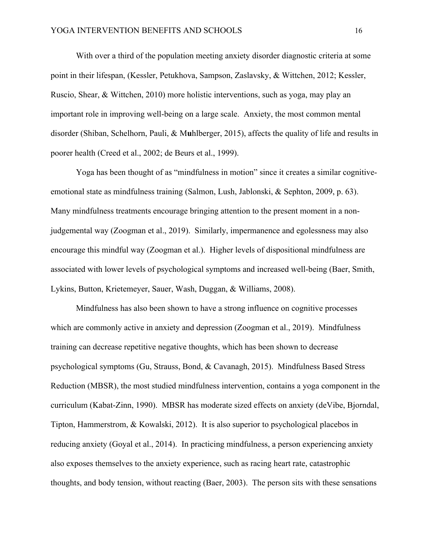With over a third of the population meeting anxiety disorder diagnostic criteria at some point in their lifespan, (Kessler, Petukhova, Sampson, Zaslavsky, & Wittchen, 2012; Kessler, Ruscio, Shear, & Wittchen, 2010) more holistic interventions, such as yoga, may play an important role in improving well-being on a large scale. Anxiety, the most common mental disorder (Shiban, Schelhorn, Pauli, & M**u**hlberger, 2015), affects the quality of life and results in poorer health (Creed et al., 2002; de Beurs et al., 1999).

Yoga has been thought of as "mindfulness in motion" since it creates a similar cognitiveemotional state as mindfulness training (Salmon, Lush, Jablonski, & Sephton, 2009, p. 63). Many mindfulness treatments encourage bringing attention to the present moment in a nonjudgemental way (Zoogman et al., 2019). Similarly, impermanence and egolessness may also encourage this mindful way (Zoogman et al.). Higher levels of dispositional mindfulness are associated with lower levels of psychological symptoms and increased well-being (Baer, Smith, Lykins, Button, Krietemeyer, Sauer, Wash, Duggan, & Williams, 2008).

Mindfulness has also been shown to have a strong influence on cognitive processes which are commonly active in anxiety and depression (Zoogman et al., 2019). Mindfulness training can decrease repetitive negative thoughts, which has been shown to decrease psychological symptoms (Gu, Strauss, Bond, & Cavanagh, 2015). Mindfulness Based Stress Reduction (MBSR), the most studied mindfulness intervention, contains a yoga component in the curriculum (Kabat-Zinn, 1990). MBSR has moderate sized effects on anxiety (deVibe, Bjorndal, Tipton, Hammerstrom, & Kowalski, 2012). It is also superior to psychological placebos in reducing anxiety (Goyal et al., 2014). In practicing mindfulness, a person experiencing anxiety also exposes themselves to the anxiety experience, such as racing heart rate, catastrophic thoughts, and body tension, without reacting (Baer, 2003). The person sits with these sensations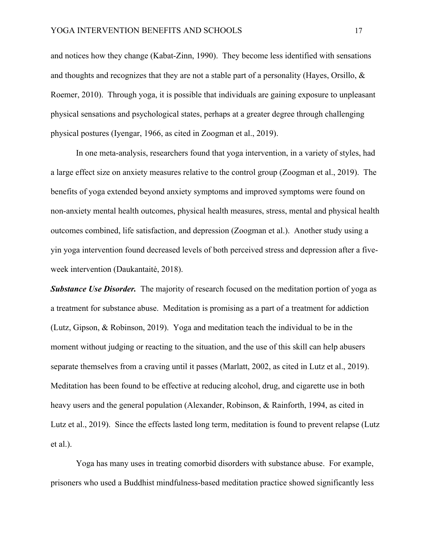and notices how they change (Kabat-Zinn, 1990). They become less identified with sensations and thoughts and recognizes that they are not a stable part of a personality (Hayes, Orsillo, & Roemer, 2010). Through yoga, it is possible that individuals are gaining exposure to unpleasant physical sensations and psychological states, perhaps at a greater degree through challenging physical postures (Iyengar, 1966, as cited in Zoogman et al., 2019).

In one meta-analysis, researchers found that yoga intervention, in a variety of styles, had a large effect size on anxiety measures relative to the control group (Zoogman et al., 2019). The benefits of yoga extended beyond anxiety symptoms and improved symptoms were found on non-anxiety mental health outcomes, physical health measures, stress, mental and physical health outcomes combined, life satisfaction, and depression (Zoogman et al.). Another study using a yin yoga intervention found decreased levels of both perceived stress and depression after a fiveweek intervention (Daukantaitė, 2018).

**Substance Use Disorder.** The majority of research focused on the meditation portion of yoga as a treatment for substance abuse. Meditation is promising as a part of a treatment for addiction (Lutz, Gipson, & Robinson, 2019). Yoga and meditation teach the individual to be in the moment without judging or reacting to the situation, and the use of this skill can help abusers separate themselves from a craving until it passes (Marlatt, 2002, as cited in Lutz et al., 2019). Meditation has been found to be effective at reducing alcohol, drug, and cigarette use in both heavy users and the general population (Alexander, Robinson, & Rainforth, 1994, as cited in Lutz et al., 2019). Since the effects lasted long term, meditation is found to prevent relapse (Lutz et al.).

Yoga has many uses in treating comorbid disorders with substance abuse. For example, prisoners who used a Buddhist mindfulness-based meditation practice showed significantly less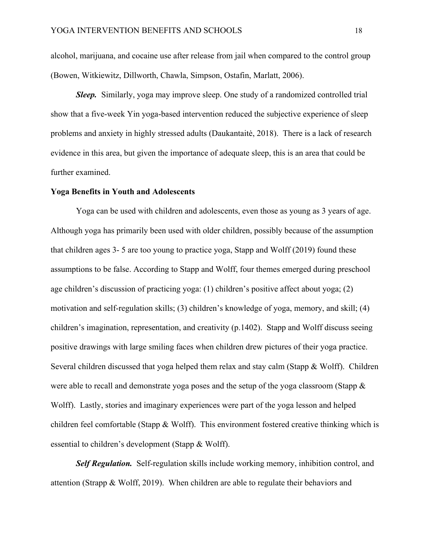alcohol, marijuana, and cocaine use after release from jail when compared to the control group (Bowen, Witkiewitz, Dillworth, Chawla, Simpson, Ostafin, Marlatt, 2006).

*Sleep.* Similarly, yoga may improve sleep. One study of a randomized controlled trial show that a five-week Yin yoga-based intervention reduced the subjective experience of sleep problems and anxiety in highly stressed adults (Daukantaitė, 2018). There is a lack of research evidence in this area, but given the importance of adequate sleep, this is an area that could be further examined.

#### **Yoga Benefits in Youth and Adolescents**

Yoga can be used with children and adolescents, even those as young as 3 years of age. Although yoga has primarily been used with older children, possibly because of the assumption that children ages 3- 5 are too young to practice yoga, Stapp and Wolff (2019) found these assumptions to be false. According to Stapp and Wolff, four themes emerged during preschool age children's discussion of practicing yoga: (1) children's positive affect about yoga; (2) motivation and self-regulation skills; (3) children's knowledge of yoga, memory, and skill; (4) children's imagination, representation, and creativity (p.1402). Stapp and Wolff discuss seeing positive drawings with large smiling faces when children drew pictures of their yoga practice. Several children discussed that yoga helped them relax and stay calm (Stapp & Wolff). Children were able to recall and demonstrate yoga poses and the setup of the yoga classroom (Stapp & Wolff). Lastly, stories and imaginary experiences were part of the yoga lesson and helped children feel comfortable (Stapp & Wolff). This environment fostered creative thinking which is essential to children's development (Stapp & Wolff).

*Self Regulation.* Self-regulation skills include working memory, inhibition control, and attention (Strapp & Wolff, 2019). When children are able to regulate their behaviors and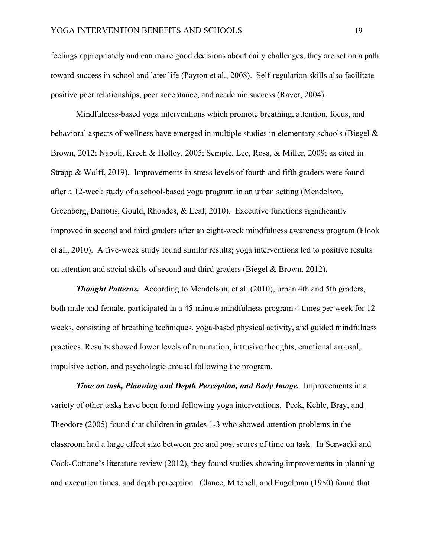feelings appropriately and can make good decisions about daily challenges, they are set on a path toward success in school and later life (Payton et al., 2008). Self-regulation skills also facilitate positive peer relationships, peer acceptance, and academic success (Raver, 2004).

Mindfulness-based yoga interventions which promote breathing, attention, focus, and behavioral aspects of wellness have emerged in multiple studies in elementary schools (Biegel & Brown, 2012; Napoli, Krech & Holley, 2005; Semple, Lee, Rosa, & Miller, 2009; as cited in Strapp & Wolff, 2019). Improvements in stress levels of fourth and fifth graders were found after a 12-week study of a school-based yoga program in an urban setting (Mendelson, Greenberg, Dariotis, Gould, Rhoades, & Leaf, 2010). Executive functions significantly improved in second and third graders after an eight-week mindfulness awareness program (Flook et al., 2010). A five-week study found similar results; yoga interventions led to positive results on attention and social skills of second and third graders (Biegel & Brown, 2012).

**Thought Patterns.** According to Mendelson, et al. (2010), urban 4th and 5th graders, both male and female, participated in a 45-minute mindfulness program 4 times per week for 12 weeks, consisting of breathing techniques, yoga-based physical activity, and guided mindfulness practices. Results showed lower levels of rumination, intrusive thoughts, emotional arousal, impulsive action, and psychologic arousal following the program.

*Time on task, Planning and Depth Perception, and Body Image.* Improvements in a variety of other tasks have been found following yoga interventions. Peck, Kehle, Bray, and Theodore (2005) found that children in grades 1-3 who showed attention problems in the classroom had a large effect size between pre and post scores of time on task.In Serwacki and Cook-Cottone's literature review (2012), they found studies showing improvements in planning and execution times, and depth perception. Clance, Mitchell, and Engelman (1980) found that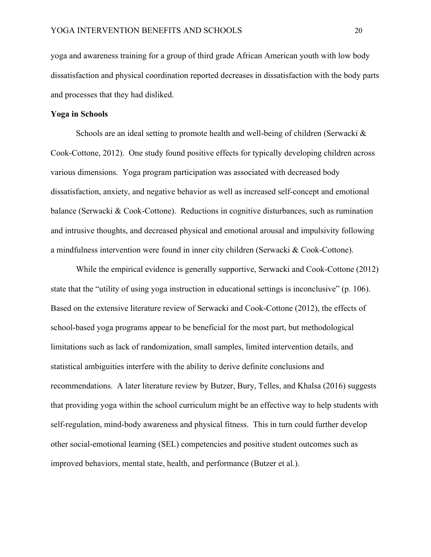yoga and awareness training for a group of third grade African American youth with low body dissatisfaction and physical coordination reported decreases in dissatisfaction with the body parts and processes that they had disliked.

# **Yoga in Schools**

Schools are an ideal setting to promote health and well-being of children (Serwacki & Cook-Cottone, 2012). One study found positive effects for typically developing children across various dimensions. Yoga program participation was associated with decreased body dissatisfaction, anxiety, and negative behavior as well as increased self-concept and emotional balance (Serwacki & Cook-Cottone). Reductions in cognitive disturbances, such as rumination and intrusive thoughts, and decreased physical and emotional arousal and impulsivity following a mindfulness intervention were found in inner city children (Serwacki & Cook-Cottone).

While the empirical evidence is generally supportive, Serwacki and Cook-Cottone (2012) state that the "utility of using yoga instruction in educational settings is inconclusive" (p. 106). Based on the extensive literature review of Serwacki and Cook-Cottone (2012), the effects of school-based yoga programs appear to be beneficial for the most part, but methodological limitations such as lack of randomization, small samples, limited intervention details, and statistical ambiguities interfere with the ability to derive definite conclusions and recommendations. A later literature review by Butzer, Bury, Telles, and Khalsa (2016) suggests that providing yoga within the school curriculum might be an effective way to help students with self-regulation, mind-body awareness and physical fitness. This in turn could further develop other social-emotional learning (SEL) competencies and positive student outcomes such as improved behaviors, mental state, health, and performance (Butzer et al.).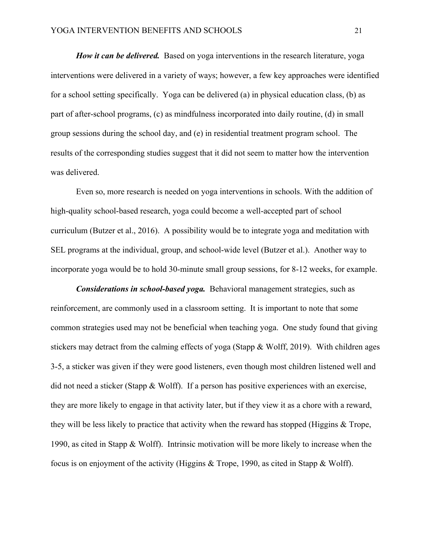*How it can be delivered.* Based on yoga interventions in the research literature, yoga interventions were delivered in a variety of ways; however, a few key approaches were identified for a school setting specifically. Yoga can be delivered (a) in physical education class, (b) as part of after-school programs, (c) as mindfulness incorporated into daily routine, (d) in small group sessions during the school day, and (e) in residential treatment program school. The results of the corresponding studies suggest that it did not seem to matter how the intervention was delivered.

Even so, more research is needed on yoga interventions in schools. With the addition of high-quality school-based research, yoga could become a well-accepted part of school curriculum (Butzer et al., 2016). A possibility would be to integrate yoga and meditation with SEL programs at the individual, group, and school-wide level (Butzer et al.). Another way to incorporate yoga would be to hold 30-minute small group sessions, for 8-12 weeks, for example.

*Considerations in school-based yoga.* Behavioral management strategies, such as reinforcement, are commonly used in a classroom setting. It is important to note that some common strategies used may not be beneficial when teaching yoga. One study found that giving stickers may detract from the calming effects of yoga (Stapp & Wolff, 2019). With children ages 3-5, a sticker was given if they were good listeners, even though most children listened well and did not need a sticker (Stapp & Wolff). If a person has positive experiences with an exercise, they are more likely to engage in that activity later, but if they view it as a chore with a reward, they will be less likely to practice that activity when the reward has stopped (Higgins & Trope, 1990, as cited in Stapp & Wolff). Intrinsic motivation will be more likely to increase when the focus is on enjoyment of the activity (Higgins & Trope, 1990, as cited in Stapp & Wolff).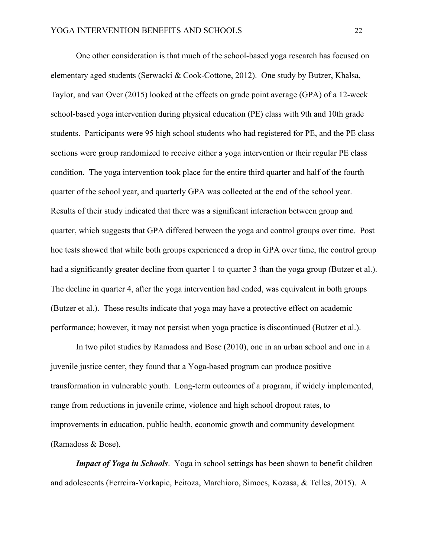One other consideration is that much of the school-based yoga research has focused on elementary aged students (Serwacki & Cook-Cottone, 2012). One study by Butzer, Khalsa, Taylor, and van Over (2015) looked at the effects on grade point average (GPA) of a 12-week school-based yoga intervention during physical education (PE) class with 9th and 10th grade students. Participants were 95 high school students who had registered for PE, and the PE class sections were group randomized to receive either a yoga intervention or their regular PE class condition. The yoga intervention took place for the entire third quarter and half of the fourth quarter of the school year, and quarterly GPA was collected at the end of the school year. Results of their study indicated that there was a significant interaction between group and quarter, which suggests that GPA differed between the yoga and control groups over time. Post hoc tests showed that while both groups experienced a drop in GPA over time, the control group had a significantly greater decline from quarter 1 to quarter 3 than the yoga group (Butzer et al.). The decline in quarter 4, after the yoga intervention had ended, was equivalent in both groups (Butzer et al.). These results indicate that yoga may have a protective effect on academic performance; however, it may not persist when yoga practice is discontinued (Butzer et al.).

In two pilot studies by Ramadoss and Bose (2010), one in an urban school and one in a juvenile justice center, they found that a Yoga-based program can produce positive transformation in vulnerable youth. Long-term outcomes of a program, if widely implemented, range from reductions in juvenile crime, violence and high school dropout rates, to improvements in education, public health, economic growth and community development (Ramadoss & Bose).

*Impact of Yoga in Schools*. Yoga in school settings has been shown to benefit children and adolescents (Ferreira-Vorkapic, Feitoza, Marchioro, Simoes, Kozasa, & Telles, 2015). A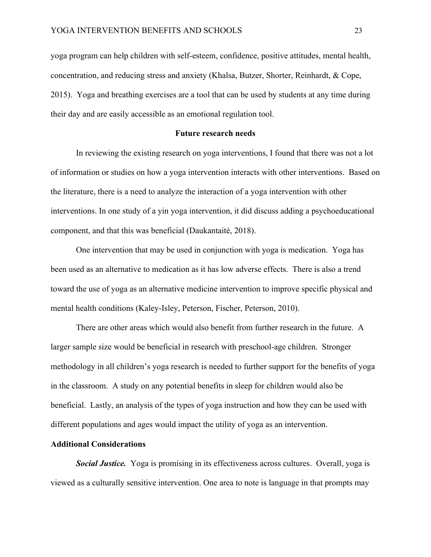yoga program can help children with self-esteem, confidence, positive attitudes, mental health, concentration, and reducing stress and anxiety (Khalsa, Butzer, Shorter, Reinhardt, & Cope, 2015). Yoga and breathing exercises are a tool that can be used by students at any time during their day and are easily accessible as an emotional regulation tool.

# **Future research needs**

In reviewing the existing research on yoga interventions, I found that there was not a lot of information or studies on how a yoga intervention interacts with other interventions. Based on the literature, there is a need to analyze the interaction of a yoga intervention with other interventions. In one study of a yin yoga intervention, it did discuss adding a psychoeducational component, and that this was beneficial (Daukantaitė, 2018).

One intervention that may be used in conjunction with yoga is medication. Yoga has been used as an alternative to medication as it has low adverse effects. There is also a trend toward the use of yoga as an alternative medicine intervention to improve specific physical and mental health conditions (Kaley-Isley, Peterson, Fischer, Peterson, 2010).

There are other areas which would also benefit from further research in the future. A larger sample size would be beneficial in research with preschool-age children. Stronger methodology in all children's yoga research is needed to further support for the benefits of yoga in the classroom. A study on any potential benefits in sleep for children would also be beneficial. Lastly, an analysis of the types of yoga instruction and how they can be used with different populations and ages would impact the utility of yoga as an intervention.

#### **Additional Considerations**

*Social Justice.* Yoga is promising in its effectiveness across cultures. Overall, yoga is viewed as a culturally sensitive intervention. One area to note is language in that prompts may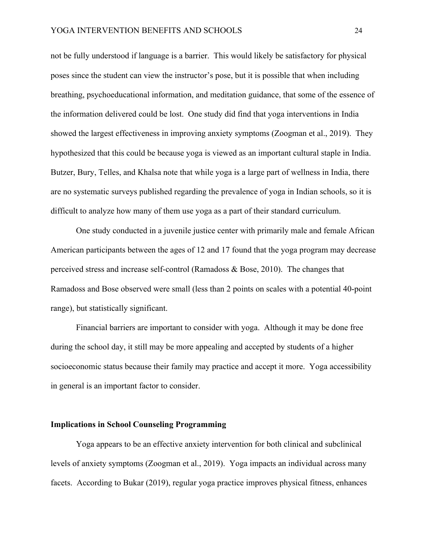not be fully understood if language is a barrier. This would likely be satisfactory for physical poses since the student can view the instructor's pose, but it is possible that when including breathing, psychoeducational information, and meditation guidance, that some of the essence of the information delivered could be lost. One study did find that yoga interventions in India showed the largest effectiveness in improving anxiety symptoms (Zoogman et al., 2019). They hypothesized that this could be because yoga is viewed as an important cultural staple in India. Butzer, Bury, Telles, and Khalsa note that while yoga is a large part of wellness in India, there are no systematic surveys published regarding the prevalence of yoga in Indian schools, so it is difficult to analyze how many of them use yoga as a part of their standard curriculum.

One study conducted in a juvenile justice center with primarily male and female African American participants between the ages of 12 and 17 found that the yoga program may decrease perceived stress and increase self-control (Ramadoss & Bose, 2010). The changes that Ramadoss and Bose observed were small (less than 2 points on scales with a potential 40-point range), but statistically significant.

Financial barriers are important to consider with yoga. Although it may be done free during the school day, it still may be more appealing and accepted by students of a higher socioeconomic status because their family may practice and accept it more. Yoga accessibility in general is an important factor to consider.

# **Implications in School Counseling Programming**

Yoga appears to be an effective anxiety intervention for both clinical and subclinical levels of anxiety symptoms (Zoogman et al., 2019). Yoga impacts an individual across many facets. According to Bukar (2019), regular yoga practice improves physical fitness, enhances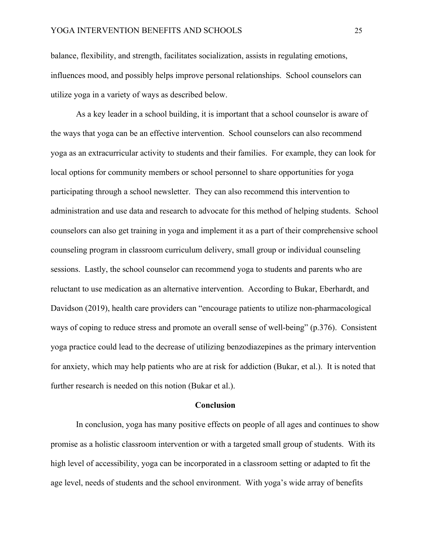balance, flexibility, and strength, facilitates socialization, assists in regulating emotions, influences mood, and possibly helps improve personal relationships. School counselors can utilize yoga in a variety of ways as described below.

As a key leader in a school building, it is important that a school counselor is aware of the ways that yoga can be an effective intervention. School counselors can also recommend yoga as an extracurricular activity to students and their families. For example, they can look for local options for community members or school personnel to share opportunities for yoga participating through a school newsletter. They can also recommend this intervention to administration and use data and research to advocate for this method of helping students. School counselors can also get training in yoga and implement it as a part of their comprehensive school counseling program in classroom curriculum delivery, small group or individual counseling sessions. Lastly, the school counselor can recommend yoga to students and parents who are reluctant to use medication as an alternative intervention. According to Bukar, Eberhardt, and Davidson (2019), health care providers can "encourage patients to utilize non-pharmacological ways of coping to reduce stress and promote an overall sense of well-being" (p.376). Consistent yoga practice could lead to the decrease of utilizing benzodiazepines as the primary intervention for anxiety, which may help patients who are at risk for addiction (Bukar, et al.). It is noted that further research is needed on this notion (Bukar et al.).

#### **Conclusion**

In conclusion, yoga has many positive effects on people of all ages and continues to show promise as a holistic classroom intervention or with a targeted small group of students. With its high level of accessibility, yoga can be incorporated in a classroom setting or adapted to fit the age level, needs of students and the school environment. With yoga's wide array of benefits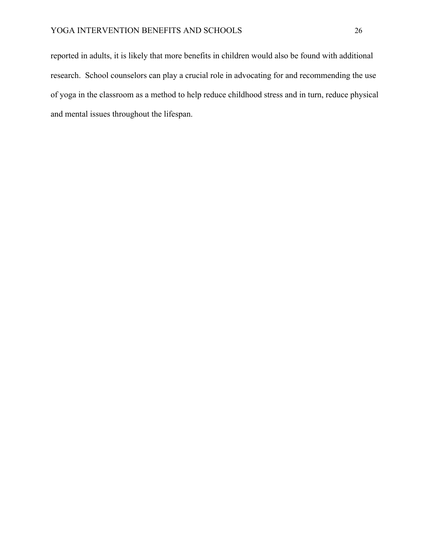reported in adults, it is likely that more benefits in children would also be found with additional research. School counselors can play a crucial role in advocating for and recommending the use of yoga in the classroom as a method to help reduce childhood stress and in turn, reduce physical and mental issues throughout the lifespan.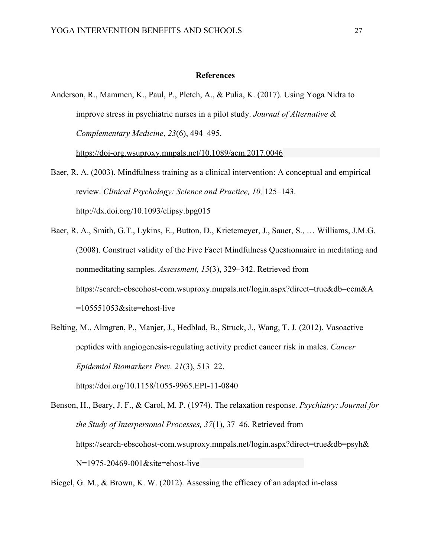#### **References**

Anderson, R., Mammen, K., Paul, P., Pletch, A., & Pulia, K. (2017). Using Yoga Nidra to improve stress in psychiatric nurses in a pilot study. *Journal of Alternative & Complementary Medicine*, *23*(6), 494–495.

https://doi-org.wsuproxy.mnpals.net/10.1089/acm.2017.0046

- Baer, R. A. (2003). Mindfulness training as a clinical intervention: A conceptual and empirical review. *Clinical Psychology: Science and Practice, 10,* 125–143. http://dx.doi.org/10.1093/clipsy.bpg015
- Baer, R. A., Smith, G.T., Lykins, E., Button, D., Krietemeyer, J., Sauer, S., … Williams, J.M.G. (2008). Construct validity of the Five Facet Mindfulness Questionnaire in meditating and nonmeditating samples. *Assessment, 15*(3), 329–342. Retrieved from https://search-ebscohost-com.wsuproxy.mnpals.net/login.aspx?direct=true&db=ccm&A =105551053&site=ehost-live
- Belting, M., Almgren, P., Manjer, J., Hedblad, B., Struck, J., Wang, T. J. (2012). Vasoactive peptides with angiogenesis-regulating activity predict cancer risk in males. *Cancer Epidemiol Biomarkers Prev. 21*(3), 513–22.

https://doi.org/10.1158/1055-9965.EPI-11-0840

Benson, H., Beary, J. F., & Carol, M. P. (1974). The relaxation response. *Psychiatry: Journal for the Study of Interpersonal Processes, 37*(1), 37–46. Retrieved from https://search-ebscohost-com.wsuproxy.mnpals.net/login.aspx?direct=true&db=psyh& N=1975-20469-001&site=ehost-live

Biegel, G. M., & Brown, K. W. (2012). Assessing the efficacy of an adapted in-class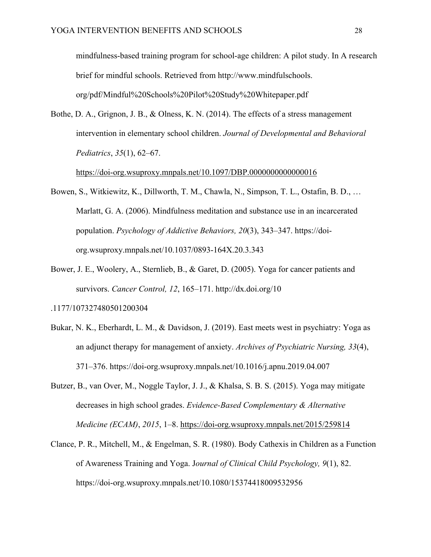mindfulness-based training program for school-age children: A pilot study. In A research brief for mindful schools. Retrieved from http://www.mindfulschools. org/pdf/Mindful%20Schools%20Pilot%20Study%20Whitepaper.pdf

Bothe, D. A., Grignon, J. B., & Olness, K. N. (2014). The effects of a stress management intervention in elementary school children. *Journal of Developmental and Behavioral Pediatrics*, *35*(1), 62–67.

https://doi-org.wsuproxy.mnpals.net/10.1097/DBP.0000000000000016

- Bowen, S., Witkiewitz, K., Dillworth, T. M., Chawla, N., Simpson, T. L., Ostafin, B. D., … Marlatt, G. A. (2006). Mindfulness meditation and substance use in an incarcerated population. *Psychology of Addictive Behaviors, 20*(3), 343–347. https://doiorg.wsuproxy.mnpals.net/10.1037/0893-164X.20.3.343
- Bower, J. E., Woolery, A., Sternlieb, B., & Garet, D. (2005). Yoga for cancer patients and survivors. *Cancer Control, 12*, 165–171. http://dx.doi.org/10

.1177/107327480501200304

- Bukar, N. K., Eberhardt, L. M., & Davidson, J. (2019). East meets west in psychiatry: Yoga as an adjunct therapy for management of anxiety. *Archives of Psychiatric Nursing, 33*(4), 371–376. https://doi-org.wsuproxy.mnpals.net/10.1016/j.apnu.2019.04.007
- Butzer, B., van Over, M., Noggle Taylor, J. J., & Khalsa, S. B. S. (2015). Yoga may mitigate decreases in high school grades. *Evidence-Based Complementary & Alternative Medicine (ECAM)*, *2015*, 1–8. https://doi-org.wsuproxy.mnpals.net/2015/259814
- Clance, P. R., Mitchell, M., & Engelman, S. R. (1980). Body Cathexis in Children as a Function of Awareness Training and Yoga. J*ournal of Clinical Child Psychology, 9*(1), 82. https://doi-org.wsuproxy.mnpals.net/10.1080/15374418009532956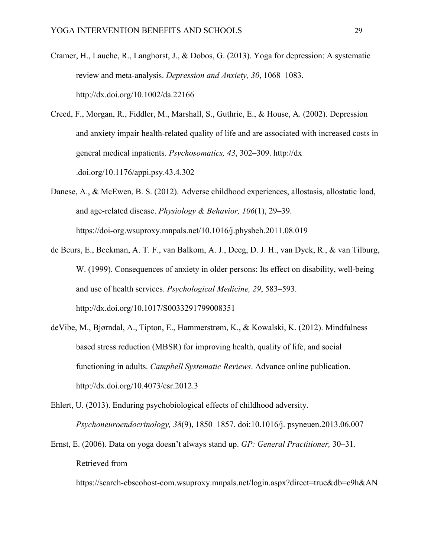- Cramer, H., Lauche, R., Langhorst, J., & Dobos, G. (2013). Yoga for depression: A systematic review and meta-analysis. *Depression and Anxiety, 30*, 1068–1083. http://dx.doi.org/10.1002/da.22166
- Creed, F., Morgan, R., Fiddler, M., Marshall, S., Guthrie, E., & House, A. (2002). Depression and anxiety impair health-related quality of life and are associated with increased costs in general medical inpatients. *Psychosomatics, 43*, 302–309. http://dx .doi.org/10.1176/appi.psy.43.4.302
- Danese, A., & McEwen, B. S. (2012). Adverse childhood experiences, allostasis, allostatic load, and age-related disease. *Physiology & Behavior, 106*(1), 29–39. https://doi-org.wsuproxy.mnpals.net/10.1016/j.physbeh.2011.08.019
- de Beurs, E., Beekman, A. T. F., van Balkom, A. J., Deeg, D. J. H., van Dyck, R., & van Tilburg, W. (1999). Consequences of anxiety in older persons: Its effect on disability, well-being and use of health services. *Psychological Medicine, 29*, 583–593. http://dx.doi.org/10.1017/S0033291799008351
- deVibe, M., Bjørndal, A., Tipton, E., Hammerstrøm, K., & Kowalski, K. (2012). Mindfulness based stress reduction (MBSR) for improving health, quality of life, and social functioning in adults. *Campbell Systematic Reviews*. Advance online publication. http://dx.doi.org/10.4073/csr.2012.3
- Ehlert, U. (2013). Enduring psychobiological effects of childhood adversity. *Psychoneuroendocrinology, 38*(9), 1850–1857. doi:10.1016/j. psyneuen.2013.06.007
- Ernst, E. (2006). Data on yoga doesn't always stand up. *GP: General Practitioner,* 30–31. Retrieved from

https://search-ebscohost-com.wsuproxy.mnpals.net/login.aspx?direct=true&db=c9h&AN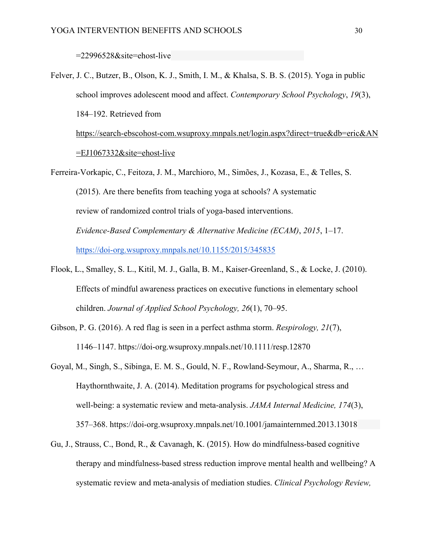=22996528&site=ehost-live

=EJ1067332&site=ehost-live

- Felver, J. C., Butzer, B., Olson, K. J., Smith, I. M., & Khalsa, S. B. S. (2015). Yoga in public school improves adolescent mood and affect. *Contemporary School Psychology*, *19*(3), 184–192. Retrieved from https://search-ebscohost-com.wsuproxy.mnpals.net/login.aspx?direct=true&db=eric&AN
- Ferreira-Vorkapic, C., Feitoza, J. M., Marchioro, M., Simões, J., Kozasa, E., & Telles, S. (2015). Are there benefits from teaching yoga at schools? A systematic review of randomized control trials of yoga-based interventions. *Evidence-Based Complementary & Alternative Medicine (ECAM)*, *2015*, 1–17. https://doi-org.wsuproxy.mnpals.net/10.1155/2015/345835
- Flook, L., Smalley, S. L., Kitil, M. J., Galla, B. M., Kaiser-Greenland, S., & Locke, J. (2010). Effects of mindful awareness practices on executive functions in elementary school children. *Journal of Applied School Psychology, 26*(1), 70–95.
- Gibson, P. G. (2016). A red flag is seen in a perfect asthma storm. *Respirology, 21*(7), 1146–1147. https://doi-org.wsuproxy.mnpals.net/10.1111/resp.12870
- Goyal, M., Singh, S., Sibinga, E. M. S., Gould, N. F., Rowland-Seymour, A., Sharma, R., … Haythornthwaite, J. A. (2014). Meditation programs for psychological stress and well-being: a systematic review and meta-analysis. *JAMA Internal Medicine, 174*(3), 357–368. https://doi-org.wsuproxy.mnpals.net/10.1001/jamainternmed.2013.13018
- Gu, J., Strauss, C., Bond, R., & Cavanagh, K. (2015). How do mindfulness-based cognitive therapy and mindfulness-based stress reduction improve mental health and wellbeing? A systematic review and meta-analysis of mediation studies. *Clinical Psychology Review,*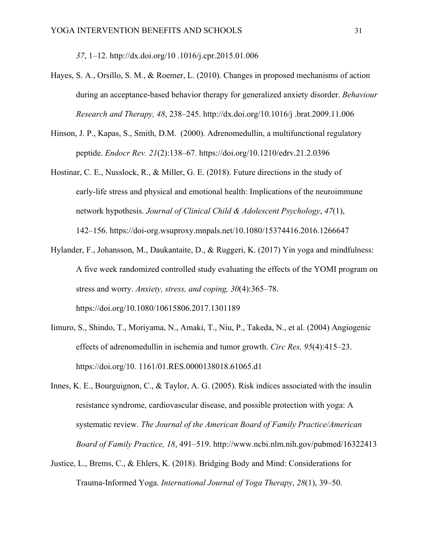*37*, 1–12. http://dx.doi.org/10 .1016/j.cpr.2015.01.006

- Hayes, S. A., Orsillo, S. M., & Roemer, L. (2010). Changes in proposed mechanisms of action during an acceptance-based behavior therapy for generalized anxiety disorder. *Behaviour Research and Therapy, 48*, 238–245. http://dx.doi.org/10.1016/j .brat.2009.11.006
- Hinson, J. P., Kapas, S., Smith, D.M. (2000). Adrenomedullin, a multifunctional regulatory peptide. *Endocr Rev. 21*(2):138–67. https://doi.org/10.1210/edrv.21.2.0396
- Hostinar, C. E., Nusslock, R., & Miller, G. E. (2018). Future directions in the study of early-life stress and physical and emotional health: Implications of the neuroimmune network hypothesis. *Journal of Clinical Child & Adolescent Psychology*, *47*(1), 142–156. https://doi-org.wsuproxy.mnpals.net/10.1080/15374416.2016.1266647
- Hylander, F., Johansson, M., Daukantaite, D., & Ruggeri, K. (2017) Yin yoga and mindfulness: A five week randomized controlled study evaluating the effects of the YOMI program on stress and worry. *Anxiety, stress, and coping, 30*(4):365–78. https://doi.org/10.1080/10615806.2017.1301189
- Iimuro, S., Shindo, T., Moriyama, N., Amaki, T., Niu, P., Takeda, N., et al. (2004) Angiogenic effects of adrenomedullin in ischemia and tumor growth. *Circ Res, 95*(4):415–23. https://doi.org/10. 1161/01.RES.0000138018.61065.d1
- Innes, K. E., Bourguignon, C., & Taylor, A. G. (2005). Risk indices associated with the insulin resistance syndrome, cardiovascular disease, and possible protection with yoga: A systematic review. *The Journal of the American Board of Family Practice/American Board of Family Practice, 18*, 491–519. http://www.ncbi.nlm.nih.gov/pubmed/16322413
- Justice, L., Brems, C., & Ehlers, K. (2018). Bridging Body and Mind: Considerations for Trauma-Informed Yoga. *International Journal of Yoga Therapy*, *28*(1), 39–50.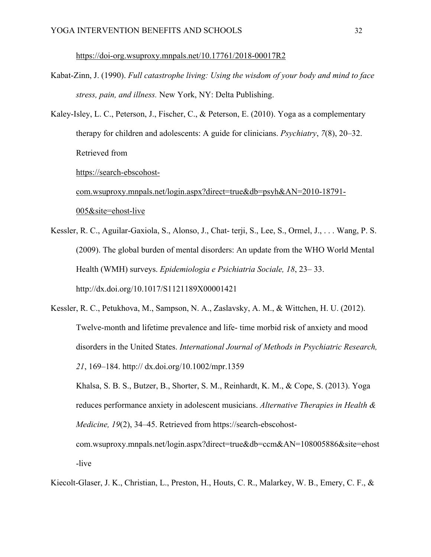https://doi-org.wsuproxy.mnpals.net/10.17761/2018-00017R2

- Kabat-Zinn, J. (1990). *Full catastrophe living: Using the wisdom of your body and mind to face stress, pain, and illness.* New York, NY: Delta Publishing.
- Kaley-Isley, L. C., Peterson, J., Fischer, C., & Peterson, E. (2010). Yoga as a complementary therapy for children and adolescents: A guide for clinicians. *Psychiatry*, *7*(8), 20–32. Retrieved from

https://search-ebscohost-

com.wsuproxy.mnpals.net/login.aspx?direct=true&db=psyh&AN=2010-18791- 005&site=ehost-live

- Kessler, R. C., Aguilar-Gaxiola, S., Alonso, J., Chat- terji, S., Lee, S., Ormel, J., . . . Wang, P. S. (2009). The global burden of mental disorders: An update from the WHO World Mental Health (WMH) surveys. *Epidemiologia e Psichiatria Sociale, 18*, 23– 33. http://dx.doi.org/10.1017/S1121189X00001421
- Kessler, R. C., Petukhova, M., Sampson, N. A., Zaslavsky, A. M., & Wittchen, H. U. (2012). Twelve-month and lifetime prevalence and life- time morbid risk of anxiety and mood disorders in the United States. *International Journal of Methods in Psychiatric Research, 21*, 169–184. http:// dx.doi.org/10.1002/mpr.1359

Khalsa, S. B. S., Butzer, B., Shorter, S. M., Reinhardt, K. M., & Cope, S. (2013). Yoga reduces performance anxiety in adolescent musicians. *Alternative Therapies in Health & Medicine, 19*(2), 34–45. Retrieved from https://search-ebscohost-

com.wsuproxy.mnpals.net/login.aspx?direct=true&db=ccm&AN=108005886&site=ehost -live

Kiecolt-Glaser, J. K., Christian, L., Preston, H., Houts, C. R., Malarkey, W. B., Emery, C. F., &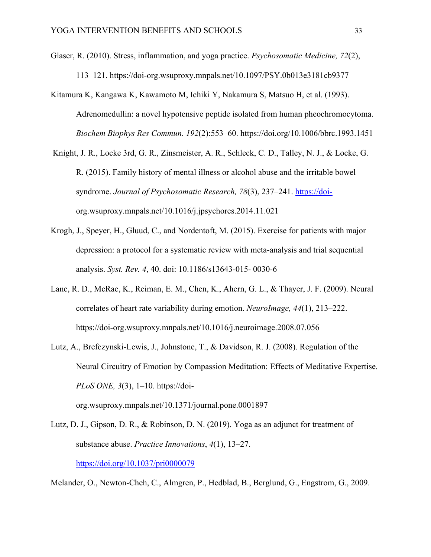- Glaser, R. (2010). Stress, inflammation, and yoga practice. *Psychosomatic Medicine, 72*(2), 113–121. https://doi-org.wsuproxy.mnpals.net/10.1097/PSY.0b013e3181cb9377
- Kitamura K, Kangawa K, Kawamoto M, Ichiki Y, Nakamura S, Matsuo H, et al. (1993). Adrenomedullin: a novel hypotensive peptide isolated from human pheochromocytoma. *Biochem Biophys Res Commun. 192*(2):553–60. https://doi.org/10.1006/bbrc.1993.1451
- Knight, J. R., Locke 3rd, G. R., Zinsmeister, A. R., Schleck, C. D., Talley, N. J., & Locke, G. R. (2015). Family history of mental illness or alcohol abuse and the irritable bowel syndrome. *Journal of Psychosomatic Research, 78*(3), 237–241. https://doiorg.wsuproxy.mnpals.net/10.1016/j.jpsychores.2014.11.021
- Krogh, J., Speyer, H., Gluud, C., and Nordentoft, M. (2015). Exercise for patients with major depression: a protocol for a systematic review with meta-analysis and trial sequential analysis. *Syst. Rev. 4*, 40. doi: 10.1186/s13643-015- 0030-6
- Lane, R. D., McRae, K., Reiman, E. M., Chen, K., Ahern, G. L., & Thayer, J. F. (2009). Neural correlates of heart rate variability during emotion. *NeuroImage, 44*(1), 213–222. https://doi-org.wsuproxy.mnpals.net/10.1016/j.neuroimage.2008.07.056
- Lutz, A., Brefczynski-Lewis, J., Johnstone, T., & Davidson, R. J. (2008). Regulation of the Neural Circuitry of Emotion by Compassion Meditation: Effects of Meditative Expertise. *PLoS ONE, 3(3), 1–10. https://doi*org.wsuproxy.mnpals.net/10.1371/journal.pone.0001897
- Lutz, D. J., Gipson, D. R., & Robinson, D. N. (2019). Yoga as an adjunct for treatment of substance abuse. *Practice Innovations*, *4*(1), 13–27. https://doi.org/10.1037/pri0000079

Melander, O., Newton-Cheh, C., Almgren, P., Hedblad, B., Berglund, G., Engstrom, G., 2009.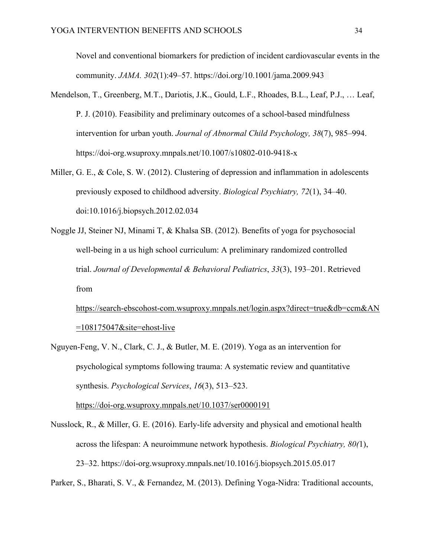Novel and conventional biomarkers for prediction of incident cardiovascular events in the community. *JAMA. 302*(1):49–57. https://doi.org/10.1001/jama.2009.943

- Mendelson, T., Greenberg, M.T., Dariotis, J.K., Gould, L.F., Rhoades, B.L., Leaf, P.J., … Leaf, P. J. (2010). Feasibility and preliminary outcomes of a school-based mindfulness intervention for urban youth. *Journal of Abnormal Child Psychology, 38*(7), 985–994. https://doi-org.wsuproxy.mnpals.net/10.1007/s10802-010-9418-x
- Miller, G. E., & Cole, S. W. (2012). Clustering of depression and inflammation in adolescents previously exposed to childhood adversity. *Biological Psychiatry, 72*(1), 34–40. doi:10.1016/j.biopsych.2012.02.034
- Noggle JJ, Steiner NJ, Minami T, & Khalsa SB. (2012). Benefits of yoga for psychosocial well-being in a us high school curriculum: A preliminary randomized controlled trial. *Journal of Developmental & Behavioral Pediatrics*, *33*(3), 193–201. Retrieved from

https://search-ebscohost-com.wsuproxy.mnpals.net/login.aspx?direct=true&db=ccm&AN  $=108175047$ &site=ehost-live

Nguyen-Feng, V. N., Clark, C. J., & Butler, M. E. (2019). Yoga as an intervention for psychological symptoms following trauma: A systematic review and quantitative synthesis. *Psychological Services*, *16*(3), 513–523. https://doi-org.wsuproxy.mnpals.net/10.1037/ser0000191

Nusslock, R., & Miller, G. E. (2016). Early-life adversity and physical and emotional health across the lifespan: A neuroimmune network hypothesis. *Biological Psychiatry, 80(*1), 23–32. https://doi-org.wsuproxy.mnpals.net/10.1016/j.biopsych.2015.05.017

Parker, S., Bharati, S. V., & Fernandez, M. (2013). Defining Yoga-Nidra: Traditional accounts,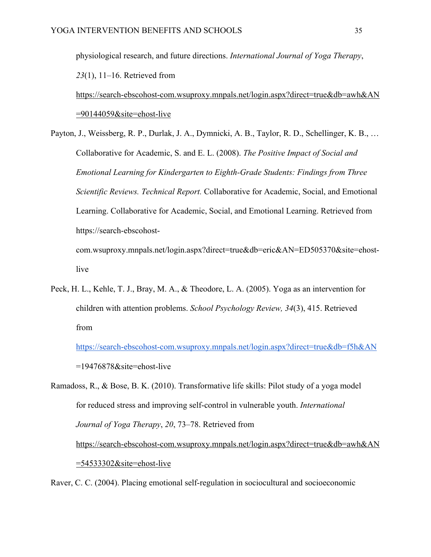physiological research, and future directions. *International Journal of Yoga Therapy*, *23*(1), 11–16. Retrieved from

https://search-ebscohost-com.wsuproxy.mnpals.net/login.aspx?direct=true&db=awh&AN =90144059&site=ehost-live

Payton, J., Weissberg, R. P., Durlak, J. A., Dymnicki, A. B., Taylor, R. D., Schellinger, K. B., … Collaborative for Academic, S. and E. L. (2008). *The Positive Impact of Social and Emotional Learning for Kindergarten to Eighth-Grade Students: Findings from Three Scientific Reviews. Technical Report.* Collaborative for Academic, Social, and Emotional Learning. Collaborative for Academic, Social, and Emotional Learning. Retrieved from https://search-ebscohostcom.wsuproxy.mnpals.net/login.aspx?direct=true&db=eric&AN=ED505370&site=ehost-

live

Peck, H. L., Kehle, T. J., Bray, M. A., & Theodore, L. A. (2005). Yoga as an intervention for children with attention problems. *School Psychology Review, 34*(3), 415. Retrieved from

https://search-ebscohost-com.wsuproxy.mnpals.net/login.aspx?direct=true&db=f5h&AN =19476878&site=ehost-live

Ramadoss, R., & Bose, B. K. (2010). Transformative life skills: Pilot study of a yoga model for reduced stress and improving self-control in vulnerable youth. *International Journal of Yoga Therapy*, *20*, 73–78. Retrieved from https://search-ebscohost-com.wsuproxy.mnpals.net/login.aspx?direct=true&db=awh&AN =54533302&site=ehost-live

Raver, C. C. (2004). Placing emotional self-regulation in sociocultural and socioeconomic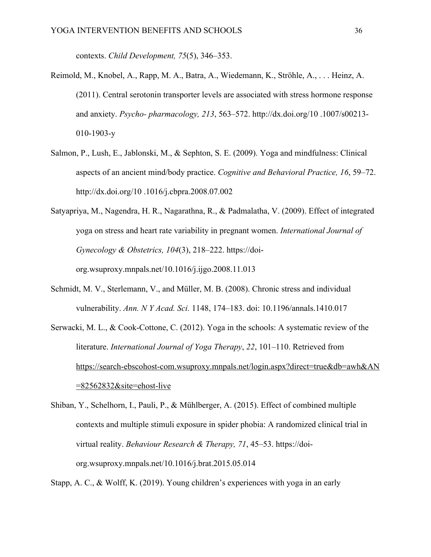contexts. *Child Development, 75*(5), 346–353.

- Reimold, M., Knobel, A., Rapp, M. A., Batra, A., Wiedemann, K., Ströhle, A., . . . Heinz, A. (2011). Central serotonin transporter levels are associated with stress hormone response and anxiety. *Psycho- pharmacology, 213*, 563–572. http://dx.doi.org/10 .1007/s00213- 010-1903-y
- Salmon, P., Lush, E., Jablonski, M., & Sephton, S. E. (2009). Yoga and mindfulness: Clinical aspects of an ancient mind/body practice. *Cognitive and Behavioral Practice, 16*, 59–72. http://dx.doi.org/10 .1016/j.cbpra.2008.07.002
- Satyapriya, M., Nagendra, H. R., Nagarathna, R., & Padmalatha, V. (2009). Effect of integrated yoga on stress and heart rate variability in pregnant women. *International Journal of Gynecology & Obstetrics, 104*(3), 218–222. https://doiorg.wsuproxy.mnpals.net/10.1016/j.ijgo.2008.11.013
- Schmidt, M. V., Sterlemann, V., and Müller, M. B. (2008). Chronic stress and individual vulnerability. *Ann. N Y Acad. Sci.* 1148, 174–183. doi: 10.1196/annals.1410.017
- Serwacki, M. L., & Cook-Cottone, C. (2012). Yoga in the schools: A systematic review of the literature. *International Journal of Yoga Therapy*, *22*, 101–110. Retrieved from https://search-ebscohost-com.wsuproxy.mnpals.net/login.aspx?direct=true&db=awh&AN =82562832&site=ehost-live
- Shiban, Y., Schelhorn, I., Pauli, P., & Mühlberger, A. (2015). Effect of combined multiple contexts and multiple stimuli exposure in spider phobia: A randomized clinical trial in virtual reality. *Behaviour Research & Therapy, 71*, 45–53. https://doiorg.wsuproxy.mnpals.net/10.1016/j.brat.2015.05.014

Stapp, A. C., & Wolff, K. (2019). Young children's experiences with yoga in an early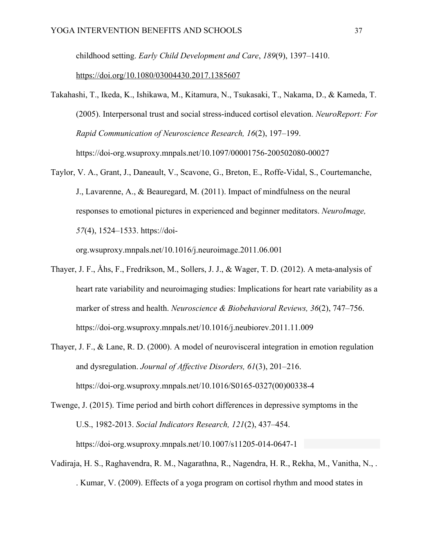childhood setting. *Early Child Development and Care*, *189*(9), 1397–1410.

https://doi.org/10.1080/03004430.2017.1385607

- Takahashi, T., Ikeda, K., Ishikawa, M., Kitamura, N., Tsukasaki, T., Nakama, D., & Kameda, T. (2005). Interpersonal trust and social stress-induced cortisol elevation. *NeuroReport: For Rapid Communication of Neuroscience Research, 16*(2), 197–199. https://doi-org.wsuproxy.mnpals.net/10.1097/00001756-200502080-00027
- Taylor, V. A., Grant, J., Daneault, V., Scavone, G., Breton, E., Roffe-Vidal, S., Courtemanche, J., Lavarenne, A., & Beauregard, M. (2011). Impact of mindfulness on the neural responses to emotional pictures in experienced and beginner meditators. *NeuroImage, 57*(4), 1524–1533. https://doi-

org.wsuproxy.mnpals.net/10.1016/j.neuroimage.2011.06.001

- Thayer, J. F., Åhs, F., Fredrikson, M., Sollers, J. J., & Wager, T. D. (2012). A meta-analysis of heart rate variability and neuroimaging studies: Implications for heart rate variability as a marker of stress and health. *Neuroscience & Biobehavioral Reviews, 36*(2), 747–756. https://doi-org.wsuproxy.mnpals.net/10.1016/j.neubiorev.2011.11.009
- Thayer, J. F., & Lane, R. D. (2000). A model of neurovisceral integration in emotion regulation and dysregulation. *Journal of Affective Disorders, 61*(3), 201–216. https://doi-org.wsuproxy.mnpals.net/10.1016/S0165-0327(00)00338-4
- Twenge, J. (2015). Time period and birth cohort differences in depressive symptoms in the U.S., 1982-2013. *Social Indicators Research, 121*(2), 437–454. https://doi-org.wsuproxy.mnpals.net/10.1007/s11205-014-0647-1
- Vadiraja, H. S., Raghavendra, R. M., Nagarathna, R., Nagendra, H. R., Rekha, M., Vanitha, N., . . Kumar, V. (2009). Effects of a yoga program on cortisol rhythm and mood states in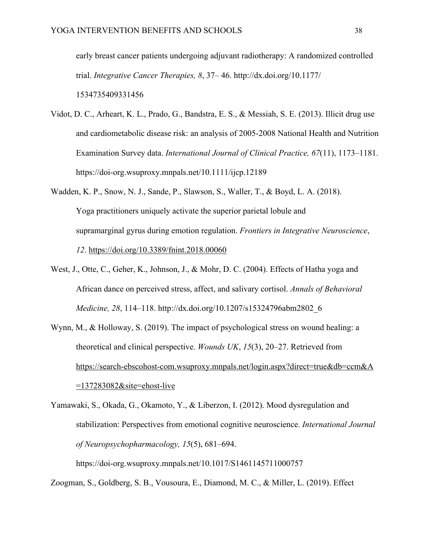early breast cancer patients undergoing adjuvant radiotherapy: A randomized controlled trial. *Integrative Cancer Therapies, 8*, 37– 46. http://dx.doi.org/10.1177/ 1534735409331456

- Vidot, D. C., Arheart, K. L., Prado, G., Bandstra, E. S., & Messiah, S. E. (2013). Illicit drug use and cardiometabolic disease risk: an analysis of 2005-2008 National Health and Nutrition Examination Survey data. *International Journal of Clinical Practice, 67*(11), 1173–1181. https://doi-org.wsuproxy.mnpals.net/10.1111/ijcp.12189
- Wadden, K. P., Snow, N. J., Sande, P., Slawson, S., Waller, T., & Boyd, L. A. (2018). Yoga practitioners uniquely activate the superior parietal lobule and supramarginal gyrus during emotion regulation. *Frontiers in Integrative Neuroscience*, *12*. https://doi.org/10.3389/fnint.2018.00060
- West, J., Otte, C., Geher, K., Johnson, J., & Mohr, D. C. (2004). Effects of Hatha yoga and African dance on perceived stress, affect, and salivary cortisol. *Annals of Behavioral Medicine, 28*, 114–118. http://dx.doi.org/10.1207/s15324796abm2802\_6
- Wynn, M., & Holloway, S. (2019). The impact of psychological stress on wound healing: a theoretical and clinical perspective. *Wounds UK*, *15*(3), 20–27. Retrieved from https://search-ebscohost-com.wsuproxy.mnpals.net/login.aspx?direct=true&db=ccm&A =137283082&site=ehost-live

Yamawaki, S., Okada, G., Okamoto, Y., & Liberzon, I. (2012). Mood dysregulation and stabilization: Perspectives from emotional cognitive neuroscience. *International Journal of Neuropsychopharmacology, 15*(5), 681–694. https://doi-org.wsuproxy.mnpals.net/10.1017/S1461145711000757

Zoogman, S., Goldberg, S. B., Vousoura, E., Diamond, M. C., & Miller, L. (2019). Effect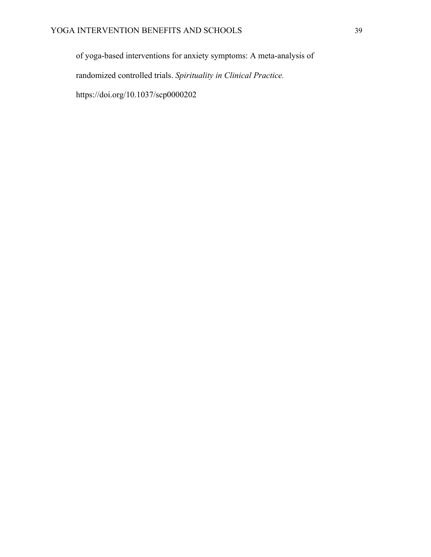of yoga-based interventions for anxiety symptoms: A meta-analysis of randomized controlled trials. *Spirituality in Clinical Practice.* https://doi.org/10.1037/scp0000202